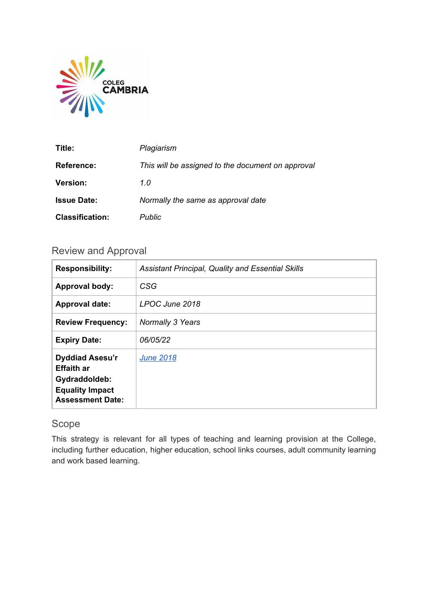

| Title:                 | Plagiarism                                        |
|------------------------|---------------------------------------------------|
| <b>Reference:</b>      | This will be assigned to the document on approval |
| <b>Version:</b>        | 1.0                                               |
| <b>Issue Date:</b>     | Normally the same as approval date                |
| <b>Classification:</b> | <b>Public</b>                                     |

## Review and Approval

| <b>Responsibility:</b>                                                                                            | <b>Assistant Principal, Quality and Essential Skills</b> |
|-------------------------------------------------------------------------------------------------------------------|----------------------------------------------------------|
| <b>Approval body:</b>                                                                                             | CSG                                                      |
| <b>Approval date:</b>                                                                                             | LPOC June 2018                                           |
| <b>Review Frequency:</b>                                                                                          | Normally 3 Years                                         |
| <b>Expiry Date:</b>                                                                                               | 06/05/22                                                 |
| <b>Dyddiad Asesu'r</b><br><b>Effaith ar</b><br>Gydraddoldeb:<br><b>Equality Impact</b><br><b>Assessment Date:</b> | <b>June 2018</b>                                         |

## Scope

This strategy is relevant for all types of teaching and learning provision at the College, including further education, higher education, school links courses, adult community learning and work based learning.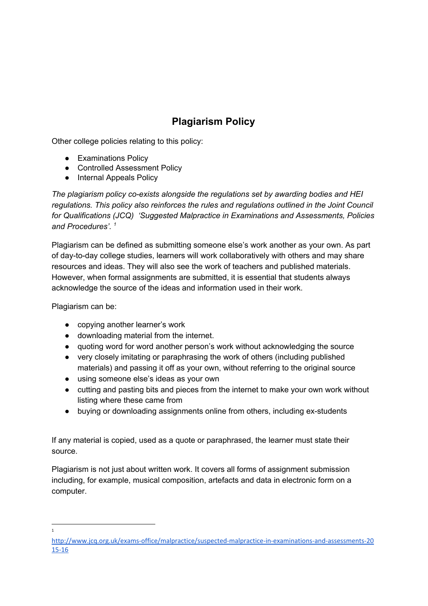# **Plagiarism Policy**

Other college policies relating to this policy:

- Examinations Policy
- Controlled Assessment Policy
- Internal Appeals Policy

*The plagiarism policy co-exists alongside the regulations set by awarding bodies and HEI regulations. This policy also reinforces the rules and regulations outlined in the Joint Council for Qualifications (JCQ) 'Suggested Malpractice in Examinations and Assessments, Policies and Procedures'. 1*

Plagiarism can be defined as submitting someone else's work another as your own. As part of day-to-day college studies, learners will work collaboratively with others and may share resources and ideas. They will also see the work of teachers and published materials. However, when formal assignments are submitted, it is essential that students always acknowledge the source of the ideas and information used in their work.

Plagiarism can be:

1

- copying another learner's work
- downloading material from the internet.
- quoting word for word another person's work without acknowledging the source
- very closely imitating or paraphrasing the work of others (including published materials) and passing it off as your own, without referring to the original source
- using someone else's ideas as your own
- cutting and pasting bits and pieces from the internet to make your own work without listing where these came from
- buying or downloading assignments online from others, including ex-students

If any material is copied, used as a quote or paraphrased, the learner must state their source.

Plagiarism is not just about written work. It covers all forms of assignment submission including, for example, musical composition, artefacts and data in electronic form on a computer.

http://www.jcq.org.uk/exams-office/malpractice/suspected-malpractice-in-examinations-and-assessments-20 15-16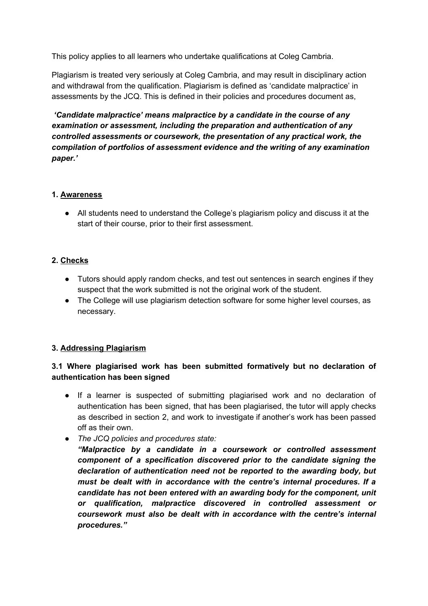This policy applies to all learners who undertake qualifications at Coleg Cambria.

Plagiarism is treated very seriously at Coleg Cambria, and may result in disciplinary action and withdrawal from the qualification. Plagiarism is defined as 'candidate malpractice' in assessments by the JCQ. This is defined in their policies and procedures document as,

*'Candidate malpractice' means malpractice by a candidate in the course of any examination or assessment, including the preparation and authentication of any controlled assessments or coursework, the presentation of any practical work, the compilation of portfolios of assessment evidence and the writing of any examination paper.'*

#### **1. Awareness**

● All students need to understand the College's plagiarism policy and discuss it at the start of their course, prior to their first assessment.

#### **2. Checks**

- Tutors should apply random checks, and test out sentences in search engines if they suspect that the work submitted is not the original work of the student.
- The College will use plagiarism detection software for some higher level courses, as necessary.

#### **3. Addressing Plagiarism**

#### **3.1 Where plagiarised work has been submitted formatively but no declaration of authentication has been signed**

- If a learner is suspected of submitting plagiarised work and no declaration of authentication has been signed, that has been plagiarised, the tutor will apply checks as described in section 2, and work to investigate if another's work has been passed off as their own.
- *The JCQ policies and procedures state:*
	- *"Malpractice by a candidate in a coursework or controlled assessment component of a specification discovered prior to the candidate signing the declaration of authentication need not be reported to the awarding body, but must be dealt with in accordance with the centre's internal procedures. If a candidate has not been entered with an awarding body for the component, unit or qualification, malpractice discovered in controlled assessment or coursework must also be dealt with in accordance with the centre's internal procedures."*